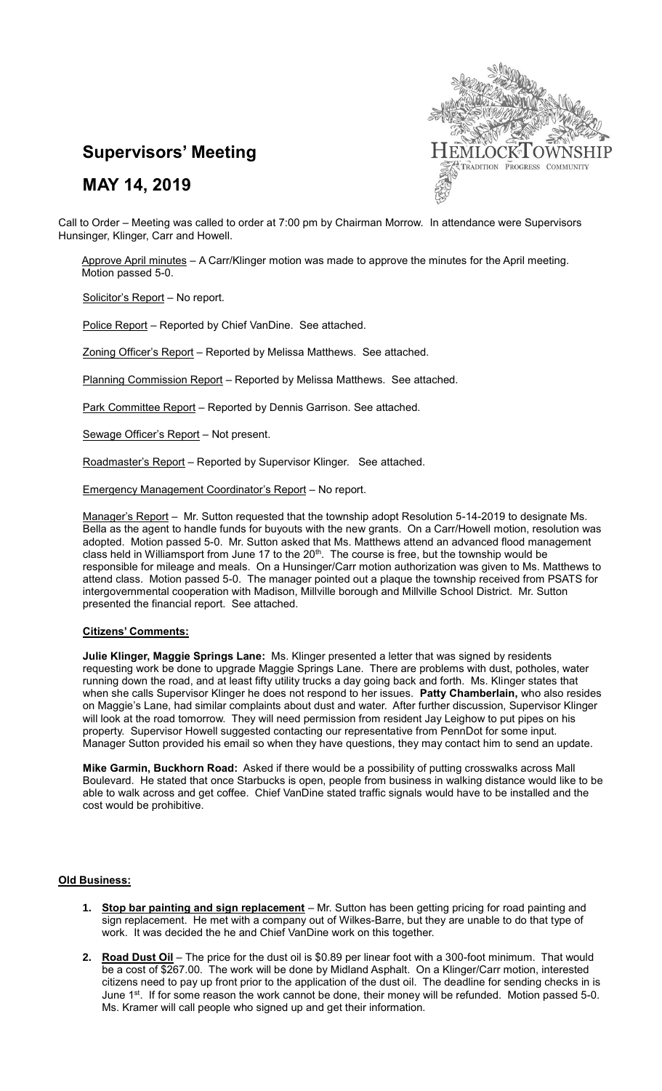

# **MAY 14, 2019**



Call to Order – Meeting was called to order at 7:00 pm by Chairman Morrow. In attendance were Supervisors Hunsinger, Klinger, Carr and Howell.

Approve April minutes - A Carr/Klinger motion was made to approve the minutes for the April meeting. Motion passed 5-0.

Solicitor's Report - No report.

Police Report – Reported by Chief VanDine. See attached.

Zoning Officer's Report – Reported by Melissa Matthews. See attached.

Planning Commission Report - Reported by Melissa Matthews. See attached.

Park Committee Report – Reported by Dennis Garrison. See attached.

Sewage Officer's Report – Not present.

Roadmaster's Report – Reported by Supervisor Klinger. See attached.

Emergency Management Coordinator's Report – No report.

Manager's Report – Mr. Sutton requested that the township adopt Resolution 5-14-2019 to designate Ms. Bella as the agent to handle funds for buyouts with the new grants. On a Carr/Howell motion, resolution was adopted. Motion passed 5-0. Mr. Sutton asked that Ms. Matthews attend an advanced flood management class held in Williamsport from June 17 to the 20<sup>th</sup>. The course is free, but the township would be responsible for mileage and meals. On a Hunsinger/Carr motion authorization was given to Ms. Matthews to attend class. Motion passed 5-0. The manager pointed out a plaque the township received from PSATS for intergovernmental cooperation with Madison, Millville borough and Millville School District. Mr. Sutton presented the financial report. See attached.

## **Citizens' Comments:**

**Julie Klinger, Maggie Springs Lane:** Ms. Klinger presented a letter that was signed by residents requesting work be done to upgrade Maggie Springs Lane. There are problems with dust, potholes, water running down the road, and at least fifty utility trucks a day going back and forth. Ms. Klinger states that when she calls Supervisor Klinger he does not respond to her issues. **Patty Chamberlain,** who also resides on Maggie's Lane, had similar complaints about dust and water. After further discussion, Supervisor Klinger will look at the road tomorrow. They will need permission from resident Jay Leighow to put pipes on his property. Supervisor Howell suggested contacting our representative from PennDot for some input. Manager Sutton provided his email so when they have questions, they may contact him to send an update.

**Mike Garmin, Buckhorn Road:** Asked if there would be a possibility of putting crosswalks across Mall Boulevard. He stated that once Starbucks is open, people from business in walking distance would like to be able to walk across and get coffee. Chief VanDine stated traffic signals would have to be installed and the cost would be prohibitive.

#### **Old Business:**

- **1. Stop bar painting and sign replacement** Mr. Sutton has been getting pricing for road painting and sign replacement. He met with a company out of Wilkes-Barre, but they are unable to do that type of work. It was decided the he and Chief VanDine work on this together.
- **2. Road Dust Oil** The price for the dust oil is \$0.89 per linear foot with a 300-foot minimum. That would be a cost of \$267.00. The work will be done by Midland Asphalt. On a Klinger/Carr motion, interested citizens need to pay up front prior to the application of the dust oil. The deadline for sending checks in is June 1<sup>st</sup>. If for some reason the work cannot be done, their money will be refunded. Motion passed 5-0. Ms. Kramer will call people who signed up and get their information.